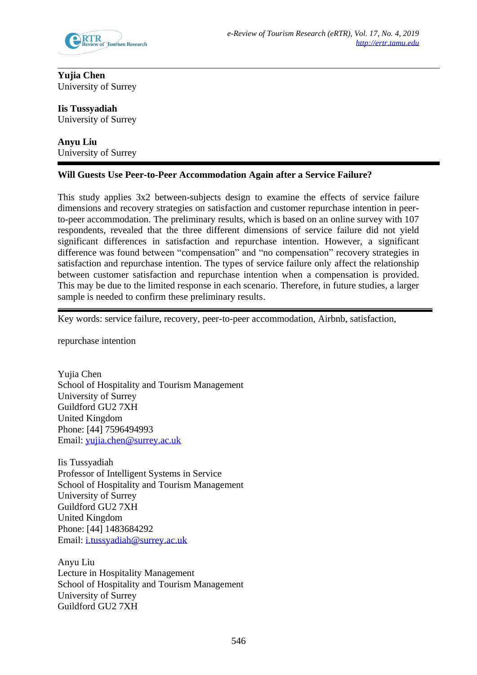

**Yujia Chen** University of Surrey

**Iis Tussyadiah** University of Surrey

**Anyu Liu** University of Surrey

## **Will Guests Use Peer-to-Peer Accommodation Again after a Service Failure?**

This study applies 3x2 between-subjects design to examine the effects of service failure dimensions and recovery strategies on satisfaction and customer repurchase intention in peerto-peer accommodation. The preliminary results, which is based on an online survey with 107 respondents, revealed that the three different dimensions of service failure did not yield significant differences in satisfaction and repurchase intention. However, a significant difference was found between "compensation" and "no compensation" recovery strategies in satisfaction and repurchase intention. The types of service failure only affect the relationship between customer satisfaction and repurchase intention when a compensation is provided. This may be due to the limited response in each scenario. Therefore, in future studies, a larger sample is needed to confirm these preliminary results.

Key words: service failure, recovery, peer-to-peer accommodation, Airbnb, satisfaction,

repurchase intention

Yujia Chen School of Hospitality and Tourism Management University of Surrey Guildford GU2 7XH United Kingdom Phone: [44] 7596494993 Email: [yujia.chen@surrey.ac.uk](mailto:yujia.chen@surrey.ac.uk)

Iis Tussyadiah Professor of Intelligent Systems in Service School of Hospitality and Tourism Management University of Surrey Guildford GU2 7XH United Kingdom Phone: [44] 1483684292 Email: [i.tussyadiah@surrey.ac.uk](mailto:i.tussyadiah@surrey.ac.uk)

Anyu Liu Lecture in Hospitality Management School of Hospitality and Tourism Management University of Surrey Guildford GU2 7XH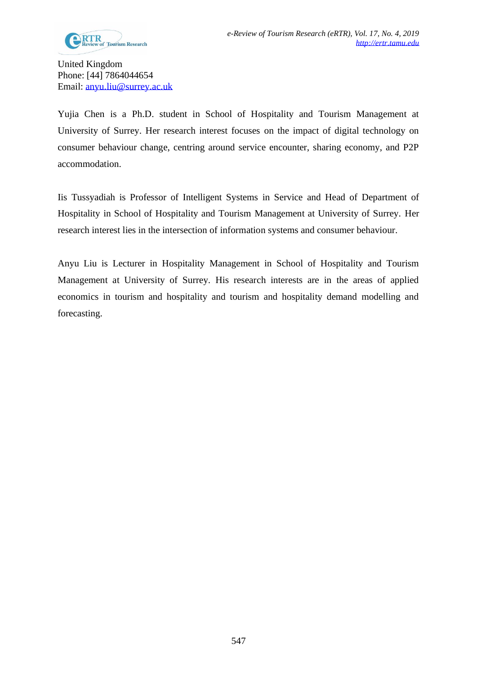United Kingdom Phone: [44] 7864044654 Email: [anyu.liu@surrey.ac.uk](mailto:anyu.liu@surrey.ac.uk)

Yujia Chen is a Ph.D. student in School of Hospitality and Tourism Management at University of Surrey. Her research interest focuses on the impact of digital technology on consumer behaviour change, centring around service encounter, sharing economy, and P2P accommodation.

Iis Tussyadiah is Professor of Intelligent Systems in Service and Head of Department of Hospitality in School of Hospitality and Tourism Management at University of Surrey. Her research interest lies in the intersection of information systems and consumer behaviour.

Anyu Liu is Lecturer in Hospitality Management in School of Hospitality and Tourism Management at University of Surrey. His research interests are in the areas of applied economics in tourism and hospitality and tourism and hospitality demand modelling and forecasting.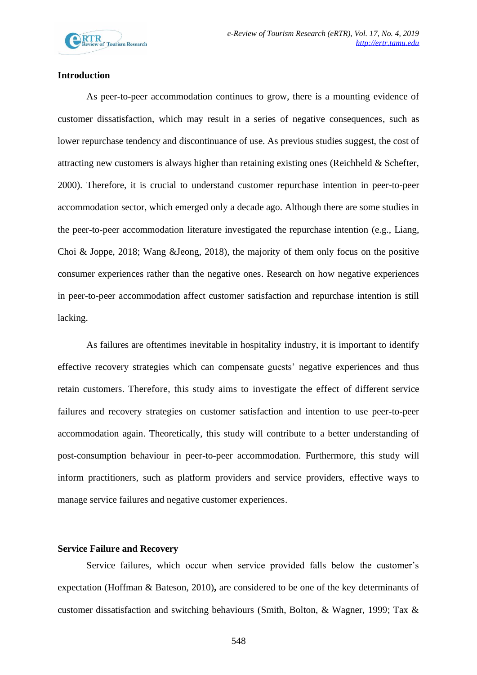

## **Introduction**

As peer-to-peer accommodation continues to grow, there is a mounting evidence of customer dissatisfaction, which may result in a series of negative consequences, such as lower repurchase tendency and discontinuance of use. As previous studies suggest, the cost of attracting new customers is always higher than retaining existing ones (Reichheld & Schefter, 2000). Therefore, it is crucial to understand customer repurchase intention in peer-to-peer accommodation sector, which emerged only a decade ago. Although there are some studies in the peer-to-peer accommodation literature investigated the repurchase intention (e.g., Liang, Choi & Joppe, 2018; Wang &Jeong, 2018), the majority of them only focus on the positive consumer experiences rather than the negative ones. Research on how negative experiences in peer-to-peer accommodation affect customer satisfaction and repurchase intention is still lacking.

As failures are oftentimes inevitable in hospitality industry, it is important to identify effective recovery strategies which can compensate guests' negative experiences and thus retain customers. Therefore, this study aims to investigate the effect of different service failures and recovery strategies on customer satisfaction and intention to use peer-to-peer accommodation again. Theoretically, this study will contribute to a better understanding of post-consumption behaviour in peer-to-peer accommodation. Furthermore, this study will inform practitioners, such as platform providers and service providers, effective ways to manage service failures and negative customer experiences.

#### **Service Failure and Recovery**

Service failures, which occur when service provided falls below the customer's expectation (Hoffman & Bateson, 2010)**,** are considered to be one of the key determinants of customer dissatisfaction and switching behaviours (Smith, Bolton, & Wagner, 1999; Tax &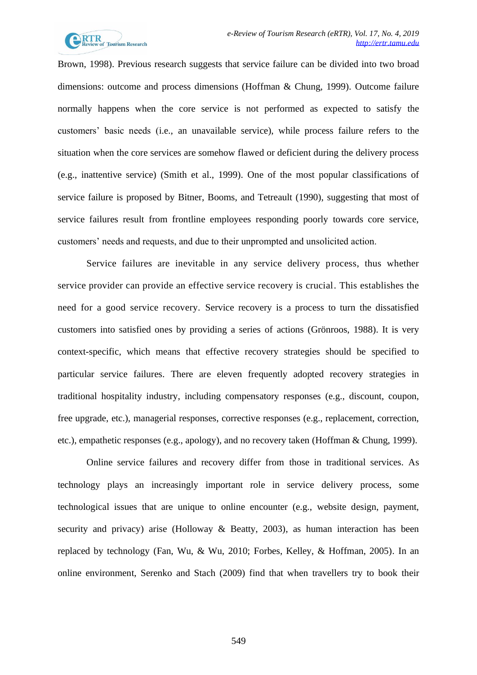

Brown, 1998). Previous research suggests that service failure can be divided into two broad dimensions: outcome and process dimensions (Hoffman & Chung, 1999). Outcome failure normally happens when the core service is not performed as expected to satisfy the customers' basic needs (i.e., an unavailable service), while process failure refers to the situation when the core services are somehow flawed or deficient during the delivery process (e.g., inattentive service) (Smith et al., 1999). One of the most popular classifications of service failure is proposed by Bitner, Booms, and Tetreault (1990), suggesting that most of service failures result from frontline employees responding poorly towards core service, customers' needs and requests, and due to their unprompted and unsolicited action.

Service failures are inevitable in any service delivery process, thus whether service provider can provide an effective service recovery is crucial. This establishes the need for a good service recovery. Service recovery is a process to turn the dissatisfied customers into satisfied ones by providing a series of actions (Grönroos, 1988). It is very context-specific, which means that effective recovery strategies should be specified to particular service failures. There are eleven frequently adopted recovery strategies in traditional hospitality industry, including compensatory responses (e.g., discount, coupon, free upgrade, etc.), managerial responses, corrective responses (e.g., replacement, correction, etc.), empathetic responses (e.g., apology), and no recovery taken (Hoffman & Chung, 1999).

Online service failures and recovery differ from those in traditional services. As technology plays an increasingly important role in service delivery process, some technological issues that are unique to online encounter (e.g., website design, payment, security and privacy) arise (Holloway & Beatty, 2003), as human interaction has been replaced by technology (Fan, Wu, & Wu, 2010; Forbes, Kelley, & Hoffman, 2005). In an online environment, Serenko and Stach (2009) find that when travellers try to book their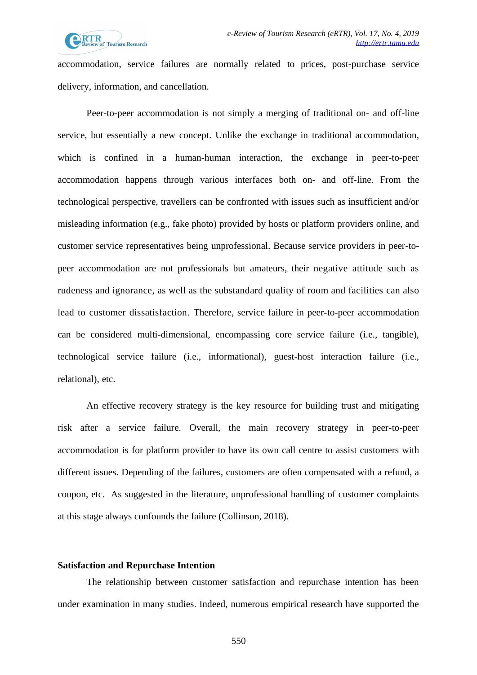

accommodation, service failures are normally related to prices, post-purchase service delivery, information, and cancellation.

Peer-to-peer accommodation is not simply a merging of traditional on- and off-line service, but essentially a new concept. Unlike the exchange in traditional accommodation, which is confined in a human-human interaction, the exchange in peer-to-peer accommodation happens through various interfaces both on- and off-line. From the technological perspective, travellers can be confronted with issues such as insufficient and/or misleading information (e.g., fake photo) provided by hosts or platform providers online, and customer service representatives being unprofessional. Because service providers in peer-topeer accommodation are not professionals but amateurs, their negative attitude such as rudeness and ignorance, as well as the substandard quality of room and facilities can also lead to customer dissatisfaction. Therefore, service failure in peer-to-peer accommodation can be considered multi-dimensional, encompassing core service failure (i.e., tangible), technological service failure (i.e., informational), guest-host interaction failure (i.e., relational), etc.

An effective recovery strategy is the key resource for building trust and mitigating risk after a service failure. Overall, the main recovery strategy in peer-to-peer accommodation is for platform provider to have its own call centre to assist customers with different issues. Depending of the failures, customers are often compensated with a refund, a coupon, etc. As suggested in the literature, unprofessional handling of customer complaints at this stage always confounds the failure (Collinson, 2018).

#### **Satisfaction and Repurchase Intention**

The relationship between customer satisfaction and repurchase intention has been under examination in many studies. Indeed, numerous empirical research have supported the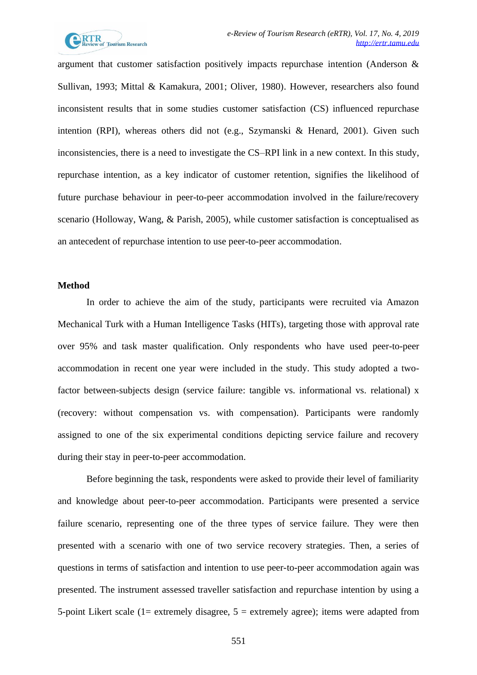

argument that customer satisfaction positively impacts repurchase intention (Anderson & Sullivan, 1993; Mittal & Kamakura, 2001; Oliver, 1980). However, researchers also found inconsistent results that in some studies customer satisfaction (CS) influenced repurchase intention (RPI), whereas others did not (e.g., Szymanski & Henard, 2001). Given such inconsistencies, there is a need to investigate the CS–RPI link in a new context. In this study, repurchase intention, as a key indicator of customer retention, signifies the likelihood of future purchase behaviour in peer-to-peer accommodation involved in the failure/recovery scenario (Holloway, Wang, & Parish, 2005), while customer satisfaction is conceptualised as an antecedent of repurchase intention to use peer-to-peer accommodation.

### **Method**

In order to achieve the aim of the study, participants were recruited via Amazon Mechanical Turk with a Human Intelligence Tasks (HITs), targeting those with approval rate over 95% and task master qualification. Only respondents who have used peer-to-peer accommodation in recent one year were included in the study. This study adopted a twofactor between-subjects design (service failure: tangible vs. informational vs. relational) x (recovery: without compensation vs. with compensation). Participants were randomly assigned to one of the six experimental conditions depicting service failure and recovery during their stay in peer-to-peer accommodation.

Before beginning the task, respondents were asked to provide their level of familiarity and knowledge about peer-to-peer accommodation. Participants were presented a service failure scenario, representing one of the three types of service failure. They were then presented with a scenario with one of two service recovery strategies. Then, a series of questions in terms of satisfaction and intention to use peer-to-peer accommodation again was presented. The instrument assessed traveller satisfaction and repurchase intention by using a 5-point Likert scale (1= extremely disagree,  $5 =$  extremely agree); items were adapted from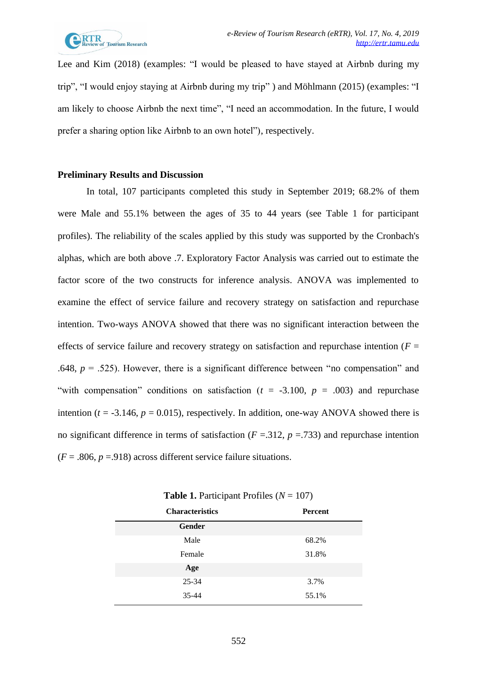

Lee and Kim (2018) (examples: "I would be pleased to have stayed at Airbnb during my trip", "I would enjoy staying at Airbnb during my trip" ) and Möhlmann (2015) (examples: "I am likely to choose Airbnb the next time", "I need an accommodation. In the future, I would prefer a sharing option like Airbnb to an own hotel"), respectively.

## **Preliminary Results and Discussion**

In total, 107 participants completed this study in September 2019; 68.2% of them were Male and 55.1% between the ages of 35 to 44 years (see Table 1 for participant profiles). The reliability of the scales applied by this study was supported by the Cronbach's alphas, which are both above .7. Exploratory Factor Analysis was carried out to estimate the factor score of the two constructs for inference analysis. ANOVA was implemented to examine the effect of service failure and recovery strategy on satisfaction and repurchase intention. Two-ways ANOVA showed that there was no significant interaction between the effects of service failure and recovery strategy on satisfaction and repurchase intention  $(F =$ .648,  $p = .525$ ). However, there is a significant difference between "no compensation" and "with compensation" conditions on satisfaction  $(t = -3.100, p = .003)$  and repurchase intention ( $t = -3.146$ ,  $p = 0.015$ ), respectively. In addition, one-way ANOVA showed there is no significant difference in terms of satisfaction  $(F = .312, p = .733)$  and repurchase intention  $(F = .806, p = .918)$  across different service failure situations.

| <b>Characteristics</b> | <b>Percent</b> |  |  |
|------------------------|----------------|--|--|
| <b>Gender</b>          |                |  |  |
| Male                   | 68.2%          |  |  |
| Female                 | 31.8%          |  |  |
| Age                    |                |  |  |
| 25-34                  | 3.7%           |  |  |
| 35-44                  | 55.1%          |  |  |

**Table 1.** Participant Profiles (*N* = 107)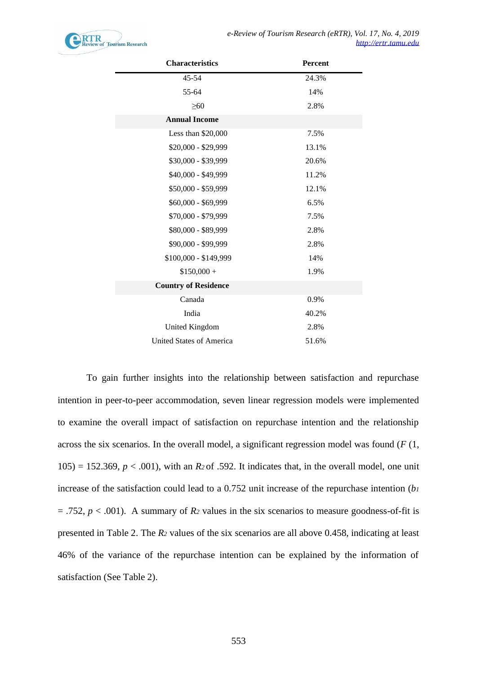

| <b>Characteristics</b>          | <b>Percent</b> |  |  |
|---------------------------------|----------------|--|--|
| 45-54                           | 24.3%          |  |  |
| 55-64                           | 14%            |  |  |
| $\geq 60$                       | 2.8%           |  |  |
| <b>Annual Income</b>            |                |  |  |
| Less than $$20,000$             | 7.5%           |  |  |
| \$20,000 - \$29,999             | 13.1%          |  |  |
| \$30,000 - \$39,999             | 20.6%          |  |  |
| \$40,000 - \$49,999             | 11.2%          |  |  |
| \$50,000 - \$59,999             | 12.1%          |  |  |
| \$60,000 - \$69,999             | 6.5%           |  |  |
| \$70,000 - \$79,999             | 7.5%           |  |  |
| \$80,000 - \$89,999             | 2.8%           |  |  |
| \$90,000 - \$99,999             | 2.8%           |  |  |
| \$100,000 - \$149,999           | 14%            |  |  |
| $$150,000 +$                    | 1.9%           |  |  |
| <b>Country of Residence</b>     |                |  |  |
| Canada                          | 0.9%           |  |  |
| India                           | 40.2%          |  |  |
| United Kingdom                  | 2.8%           |  |  |
| <b>United States of America</b> | 51.6%          |  |  |

To gain further insights into the relationship between satisfaction and repurchase intention in peer-to-peer accommodation, seven linear regression models were implemented to examine the overall impact of satisfaction on repurchase intention and the relationship across the six scenarios. In the overall model, a significant regression model was found (*F* (1,  $105$ ) = 152.369,  $p < .001$ ), with an  $R_2$  of .592. It indicates that, in the overall model, one unit increase of the satisfaction could lead to a 0.752 unit increase of the repurchase intention (*b<sup>1</sup>*  $= .752$ ,  $p < .001$ ). A summary of  $R_2$  values in the six scenarios to measure goodness-of-fit is presented in Table 2. The *R<sup>2</sup>* values of the six scenarios are all above 0.458, indicating at least 46% of the variance of the repurchase intention can be explained by the information of satisfaction (See Table 2).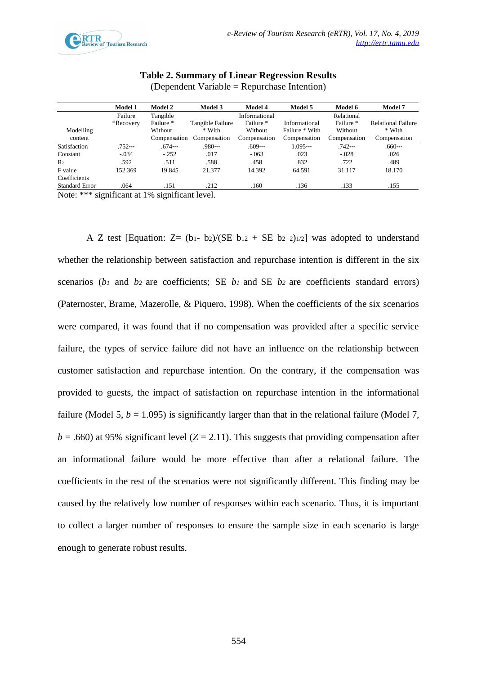

# **Table 2. Summary of Linear Regression Results**

|                       | <b>Model 1</b> | <b>Model 2</b> | <b>Model 3</b>   | <b>Model 4</b> | <b>Model 5</b> | Model 6      | <b>Model 7</b>            |
|-----------------------|----------------|----------------|------------------|----------------|----------------|--------------|---------------------------|
|                       | Failure        | Tangible       |                  | Informational  |                | Relational   |                           |
|                       | *Recovery      | Failure *      | Tangible Failure | Failure *      | Informational  | Failure *    | <b>Relational Failure</b> |
| Modelling             |                | Without        | * With           | Without        | Failure * With | Without      | * With                    |
| content               |                | Compensation   | Compensation     | Compensation   | Compensation   | Compensation | Compensation              |
| Satisfaction          | $.752***$      | $.674***$      | $.980***$        | $.609***$      | $1.095***$     | $.742***$    | $.660***$                 |
| Constant              | $-.034$        | $-252$         | .017             | $-.063$        | .023           | $-.028$      | .026                      |
| R <sub>2</sub>        | .592           | .511           | .588             | .458           | .832           | .722         | .489                      |
| F value               | 152.369        | 19.845         | 21.377           | 14.392         | 64.591         | 31.117       | 18.170                    |
| Coefficients          |                |                |                  |                |                |              |                           |
| <b>Standard Error</b> | .064           | .151           | .212             | .160           | .136           | .133         | .155                      |

(Dependent Variable = Repurchase Intention)

Note: \*\*\* significant at 1% significant level.

A Z test [Equation:  $Z = (b_1-b_2)/(SE b_{12} + SE b_2 2)$ ] was adopted to understand whether the relationship between satisfaction and repurchase intention is different in the six scenarios (*b<sup>1</sup>* and *b<sup>2</sup>* are coefficients; SE *b<sup>1</sup>* and SE *b<sup>2</sup>* are coefficients standard errors) (Paternoster, Brame, Mazerolle, & Piquero, 1998). When the coefficients of the six scenarios were compared, it was found that if no compensation was provided after a specific service failure, the types of service failure did not have an influence on the relationship between customer satisfaction and repurchase intention. On the contrary, if the compensation was provided to guests, the impact of satisfaction on repurchase intention in the informational failure (Model 5,  $b = 1.095$ ) is significantly larger than that in the relational failure (Model 7,  $b = .660$ ) at 95% significant level ( $Z = 2.11$ ). This suggests that providing compensation after an informational failure would be more effective than after a relational failure. The coefficients in the rest of the scenarios were not significantly different. This finding may be caused by the relatively low number of responses within each scenario. Thus, it is important to collect a larger number of responses to ensure the sample size in each scenario is large enough to generate robust results.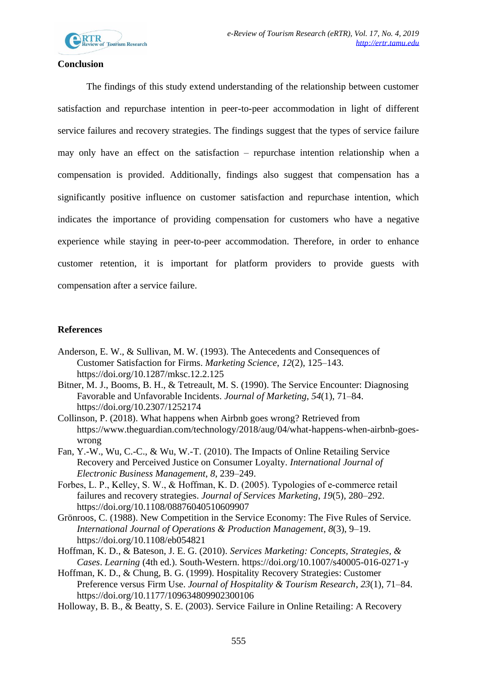

## **Conclusion**

The findings of this study extend understanding of the relationship between customer satisfaction and repurchase intention in peer-to-peer accommodation in light of different service failures and recovery strategies. The findings suggest that the types of service failure may only have an effect on the satisfaction – repurchase intention relationship when a compensation is provided. Additionally, findings also suggest that compensation has a significantly positive influence on customer satisfaction and repurchase intention, which indicates the importance of providing compensation for customers who have a negative experience while staying in peer-to-peer accommodation. Therefore, in order to enhance customer retention, it is important for platform providers to provide guests with compensation after a service failure.

# **References**

- Anderson, E. W., & Sullivan, M. W. (1993). The Antecedents and Consequences of Customer Satisfaction for Firms. *Marketing Science*, *12*(2), 125–143. https://doi.org/10.1287/mksc.12.2.125
- Bitner, M. J., Booms, B. H., & Tetreault, M. S. (1990). The Service Encounter: Diagnosing Favorable and Unfavorable Incidents. *Journal of Marketing*, *54*(1), 71–84. https://doi.org/10.2307/1252174
- Collinson, P. (2018). What happens when Airbnb goes wrong? Retrieved from https://www.theguardian.com/technology/2018/aug/04/what-happens-when-airbnb-goeswrong
- Fan, Y.-W., Wu, C.-C., & Wu, W.-T. (2010). The Impacts of Online Retailing Service Recovery and Perceived Justice on Consumer Loyalty. *International Journal of Electronic Business Management*, *8*, 239–249.
- Forbes, L. P., Kelley, S. W., & Hoffman, K. D. (2005). Typologies of e‐commerce retail failures and recovery strategies. *Journal of Services Marketing*, *19*(5), 280–292. https://doi.org/10.1108/08876040510609907
- Grönroos, C. (1988). New Competition in the Service Economy: The Five Rules of Service. *International Journal of Operations & Production Management*, *8*(3), 9–19. https://doi.org/10.1108/eb054821
- Hoffman, K. D., & Bateson, J. E. G. (2010). *Services Marketing: Concepts, Strategies, & Cases*. *Learning* (4th ed.). South-Western. https://doi.org/10.1007/s40005-016-0271-y
- Hoffman, K. D., & Chung, B. G. (1999). Hospitality Recovery Strategies: Customer Preference versus Firm Use. *Journal of Hospitality & Tourism Research*, *23*(1), 71–84. https://doi.org/10.1177/109634809902300106
- Holloway, B. B., & Beatty, S. E. (2003). Service Failure in Online Retailing: A Recovery